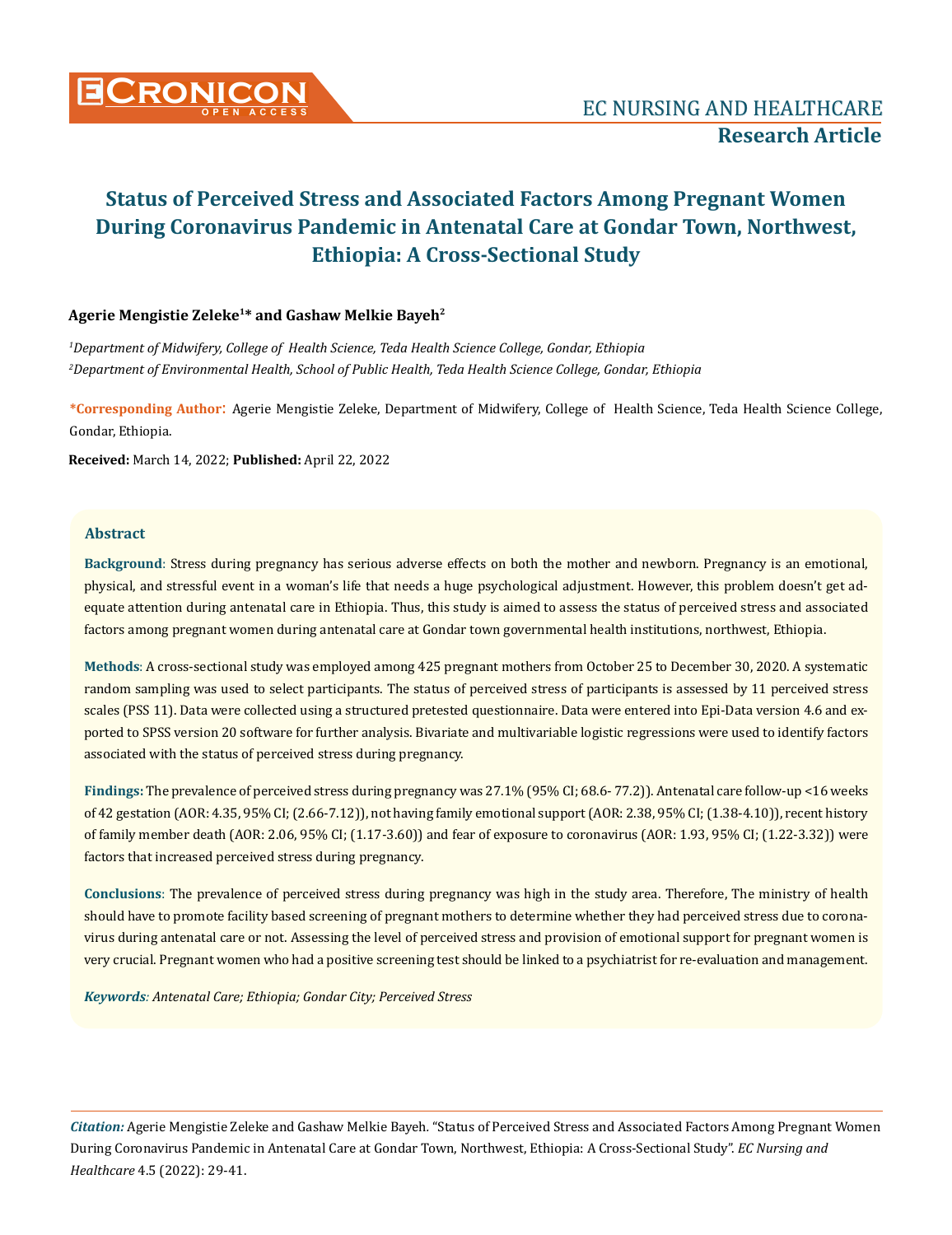

# **Agerie Mengistie Zeleke1\* and Gashaw Melkie Bayeh2**

*1 Department of Midwifery, College of Health Science, Teda Health Science College, Gondar, Ethiopia 2 Department of Environmental Health, School of Public Health, Teda Health Science College, Gondar, Ethiopia*

**\*Corresponding Author**: Agerie Mengistie Zeleke, Department of Midwifery, College of Health Science, Teda Health Science College, Gondar, Ethiopia.

**Received:** March 14, 2022; **Published:** April 22, 2022

# **Abstract**

**Background**: Stress during pregnancy has serious adverse effects on both the mother and newborn. Pregnancy is an emotional, physical, and stressful event in a woman's life that needs a huge psychological adjustment. However, this problem doesn't get adequate attention during antenatal care in Ethiopia. Thus, this study is aimed to assess the status of perceived stress and associated factors among pregnant women during antenatal care at Gondar town governmental health institutions, northwest, Ethiopia.

**Methods**: A cross-sectional study was employed among 425 pregnant mothers from October 25 to December 30, 2020. A systematic random sampling was used to select participants. The status of perceived stress of participants is assessed by 11 perceived stress scales (PSS 11). Data were collected using a structured pretested questionnaire. Data were entered into Epi-Data version 4.6 and exported to SPSS version 20 software for further analysis. Bivariate and multivariable logistic regressions were used to identify factors associated with the status of perceived stress during pregnancy.

**Findings:** The prevalence of perceived stress during pregnancy was 27.1% (95% CI; 68.6- 77.2)). Antenatal care follow-up <16 weeks of 42 gestation (AOR: 4.35, 95% CI; (2.66-7.12)), not having family emotional support (AOR: 2.38, 95% CI; (1.38-4.10)), recent history of family member death (AOR: 2.06, 95% CI; (1.17-3.60)) and fear of exposure to coronavirus (AOR: 1.93, 95% CI; (1.22-3.32)) were factors that increased perceived stress during pregnancy.

**Conclusions**: The prevalence of perceived stress during pregnancy was high in the study area. Therefore, The ministry of health should have to promote facility based screening of pregnant mothers to determine whether they had perceived stress due to coronavirus during antenatal care or not. Assessing the level of perceived stress and provision of emotional support for pregnant women is very crucial. Pregnant women who had a positive screening test should be linked to a psychiatrist for re-evaluation and management.

*Keywords: Antenatal Care; Ethiopia; Gondar City; Perceived Stress*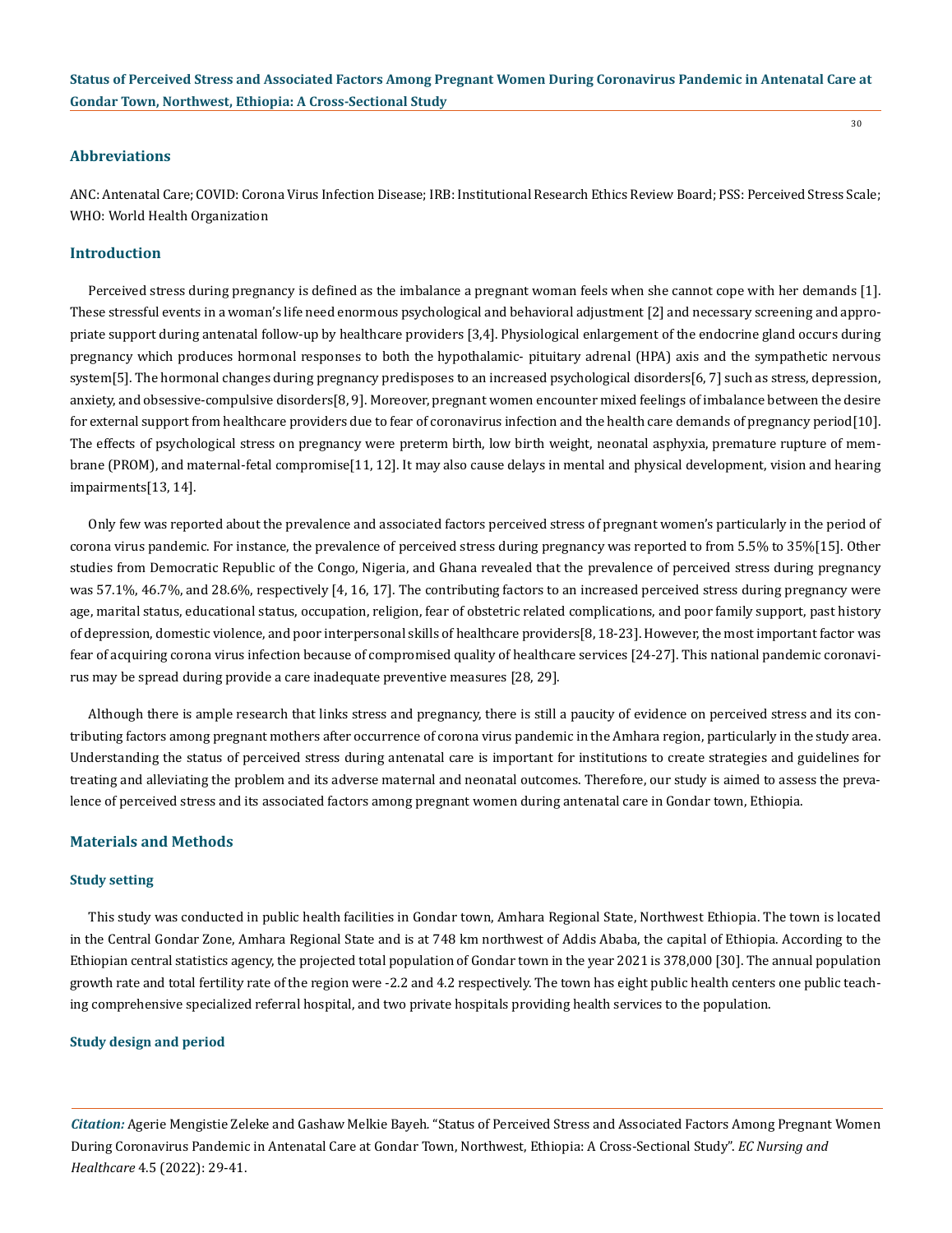30

### **Abbreviations**

ANC: Antenatal Care; COVID: Corona Virus Infection Disease; IRB: Institutional Research Ethics Review Board; PSS: Perceived Stress Scale; WHO: World Health Organization

### **Introduction**

Perceived stress during pregnancy is defined as the imbalance a pregnant woman feels when she cannot cope with her demands [1]. These stressful events in a woman's life need enormous psychological and behavioral adjustment [2] and necessary screening and appropriate support during antenatal follow-up by healthcare providers [3,4]. Physiological enlargement of the endocrine gland occurs during pregnancy which produces hormonal responses to both the hypothalamic- pituitary adrenal (HPA) axis and the sympathetic nervous system[5]. The hormonal changes during pregnancy predisposes to an increased psychological disorders[6, 7] such as stress, depression, anxiety, and obsessive-compulsive disorders[8, 9]. Moreover, pregnant women encounter mixed feelings of imbalance between the desire for external support from healthcare providers due to fear of coronavirus infection and the health care demands of pregnancy period[10]. The effects of psychological stress on pregnancy were preterm birth, low birth weight, neonatal asphyxia, premature rupture of membrane (PROM), and maternal-fetal compromise[11, 12]. It may also cause delays in mental and physical development, vision and hearing impairments[13, 14].

Only few was reported about the prevalence and associated factors perceived stress of pregnant women's particularly in the period of corona virus pandemic. For instance, the prevalence of perceived stress during pregnancy was reported to from 5.5% to 35%[15]. Other studies from Democratic Republic of the Congo, Nigeria, and Ghana revealed that the prevalence of perceived stress during pregnancy was 57.1%, 46.7%, and 28.6%, respectively [4, 16, 17]. The contributing factors to an increased perceived stress during pregnancy were age, marital status, educational status, occupation, religion, fear of obstetric related complications, and poor family support, past history of depression, domestic violence, and poor interpersonal skills of healthcare providers[8, 18-23]. However, the most important factor was fear of acquiring corona virus infection because of compromised quality of healthcare services [24-27]. This national pandemic coronavirus may be spread during provide a care inadequate preventive measures [28, 29].

Although there is ample research that links stress and pregnancy, there is still a paucity of evidence on perceived stress and its contributing factors among pregnant mothers after occurrence of corona virus pandemic in the Amhara region, particularly in the study area. Understanding the status of perceived stress during antenatal care is important for institutions to create strategies and guidelines for treating and alleviating the problem and its adverse maternal and neonatal outcomes. Therefore, our study is aimed to assess the prevalence of perceived stress and its associated factors among pregnant women during antenatal care in Gondar town, Ethiopia.

#### **Materials and Methods**

### **Study setting**

This study was conducted in public health facilities in Gondar town, Amhara Regional State, Northwest Ethiopia. The town is located in the Central Gondar Zone, Amhara Regional State and is at 748 km northwest of Addis Ababa, the capital of Ethiopia. According to the Ethiopian central statistics agency, the projected total population of Gondar town in the year 2021 is 378,000 [30]. The annual population growth rate and total fertility rate of the region were -2.2 and 4.2 respectively. The town has eight public health centers one public teaching comprehensive specialized referral hospital, and two private hospitals providing health services to the population.

### **Study design and period**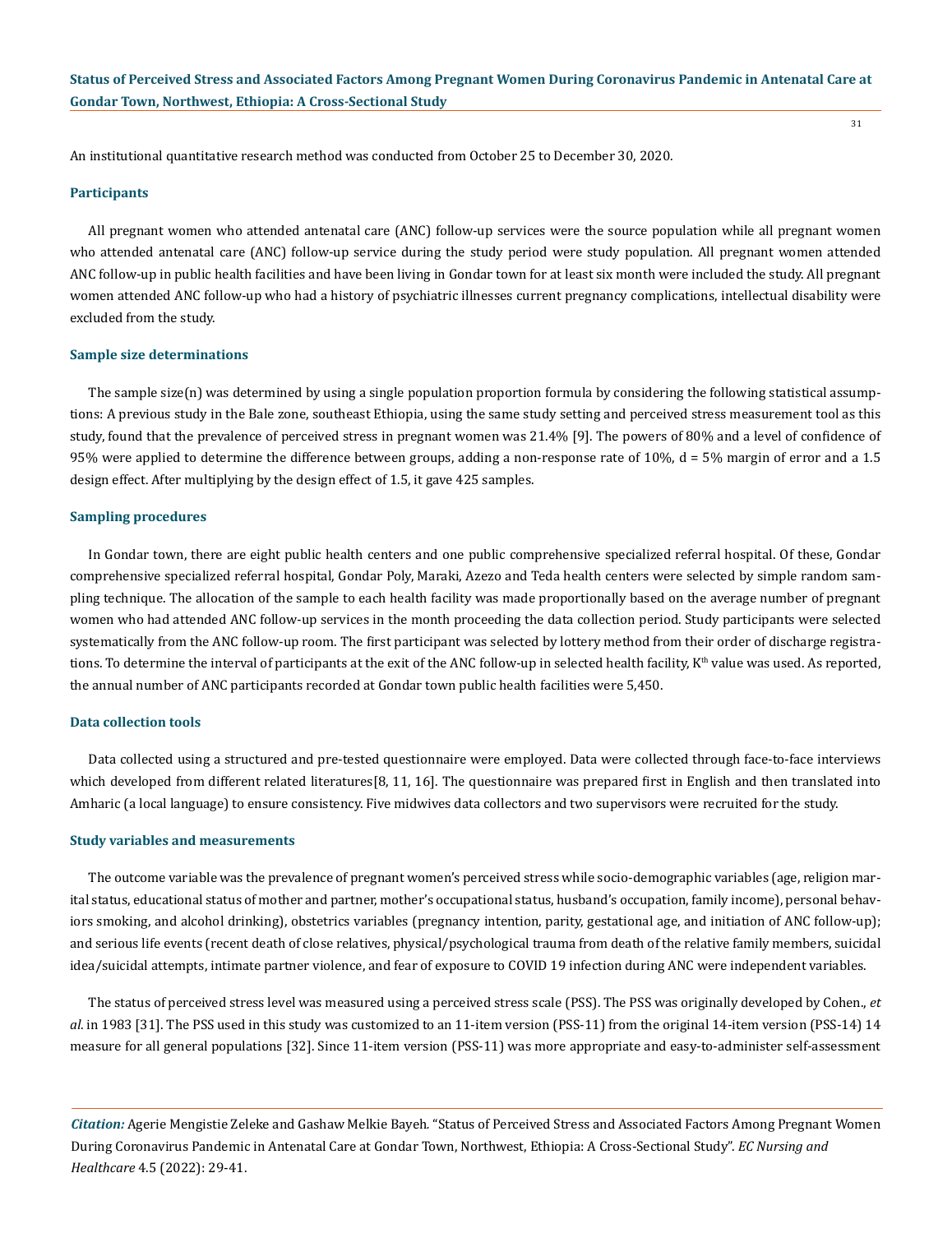An institutional quantitative research method was conducted from October 25 to December 30, 2020.

### **Participants**

All pregnant women who attended antenatal care (ANC) follow-up services were the source population while all pregnant women who attended antenatal care (ANC) follow-up service during the study period were study population. All pregnant women attended ANC follow-up in public health facilities and have been living in Gondar town for at least six month were included the study. All pregnant women attended ANC follow-up who had a history of psychiatric illnesses current pregnancy complications, intellectual disability were excluded from the study.

#### **Sample size determinations**

The sample size(n) was determined by using a single population proportion formula by considering the following statistical assumptions: A previous study in the Bale zone, southeast Ethiopia, using the same study setting and perceived stress measurement tool as this study, found that the prevalence of perceived stress in pregnant women was 21.4% [9]. The powers of 80% and a level of confidence of 95% were applied to determine the difference between groups, adding a non-response rate of 10%, d = 5% margin of error and a 1.5 design effect. After multiplying by the design effect of 1.5, it gave 425 samples.

#### **Sampling procedures**

In Gondar town, there are eight public health centers and one public comprehensive specialized referral hospital. Of these, Gondar comprehensive specialized referral hospital, Gondar Poly, Maraki, Azezo and Teda health centers were selected by simple random sampling technique. The allocation of the sample to each health facility was made proportionally based on the average number of pregnant women who had attended ANC follow-up services in the month proceeding the data collection period. Study participants were selected systematically from the ANC follow-up room. The first participant was selected by lottery method from their order of discharge registrations. To determine the interval of participants at the exit of the ANC follow-up in selected health facility, K<sup>th</sup> value was used. As reported, the annual number of ANC participants recorded at Gondar town public health facilities were 5,450.

#### **Data collection tools**

Data collected using a structured and pre-tested questionnaire were employed. Data were collected through face-to-face interviews which developed from different related literatures[8, 11, 16]. The questionnaire was prepared first in English and then translated into Amharic (a local language) to ensure consistency. Five midwives data collectors and two supervisors were recruited for the study.

#### **Study variables and measurements**

The outcome variable was the prevalence of pregnant women's perceived stress while socio-demographic variables (age, religion marital status, educational status of mother and partner, mother's occupational status, husband's occupation, family income), personal behaviors smoking, and alcohol drinking), obstetrics variables (pregnancy intention, parity, gestational age, and initiation of ANC follow-up); and serious life events (recent death of close relatives, physical/psychological trauma from death of the relative family members, suicidal idea/suicidal attempts, intimate partner violence, and fear of exposure to COVID 19 infection during ANC were independent variables.

The status of perceived stress level was measured using a perceived stress scale (PSS). The PSS was originally developed by Cohen., *et al*. in 1983 [31]. The PSS used in this study was customized to an 11-item version (PSS-11) from the original 14-item version (PSS-14) 14 measure for all general populations [32]. Since 11-item version (PSS-11) was more appropriate and easy-to-administer self-assessment

*Citation:* Agerie Mengistie Zeleke and Gashaw Melkie Bayeh*.* "Status of Perceived Stress and Associated Factors Among Pregnant Women During Coronavirus Pandemic in Antenatal Care at Gondar Town, Northwest, Ethiopia: A Cross-Sectional Study". *EC Nursing and Healthcare* 4.5 (2022): 29-41.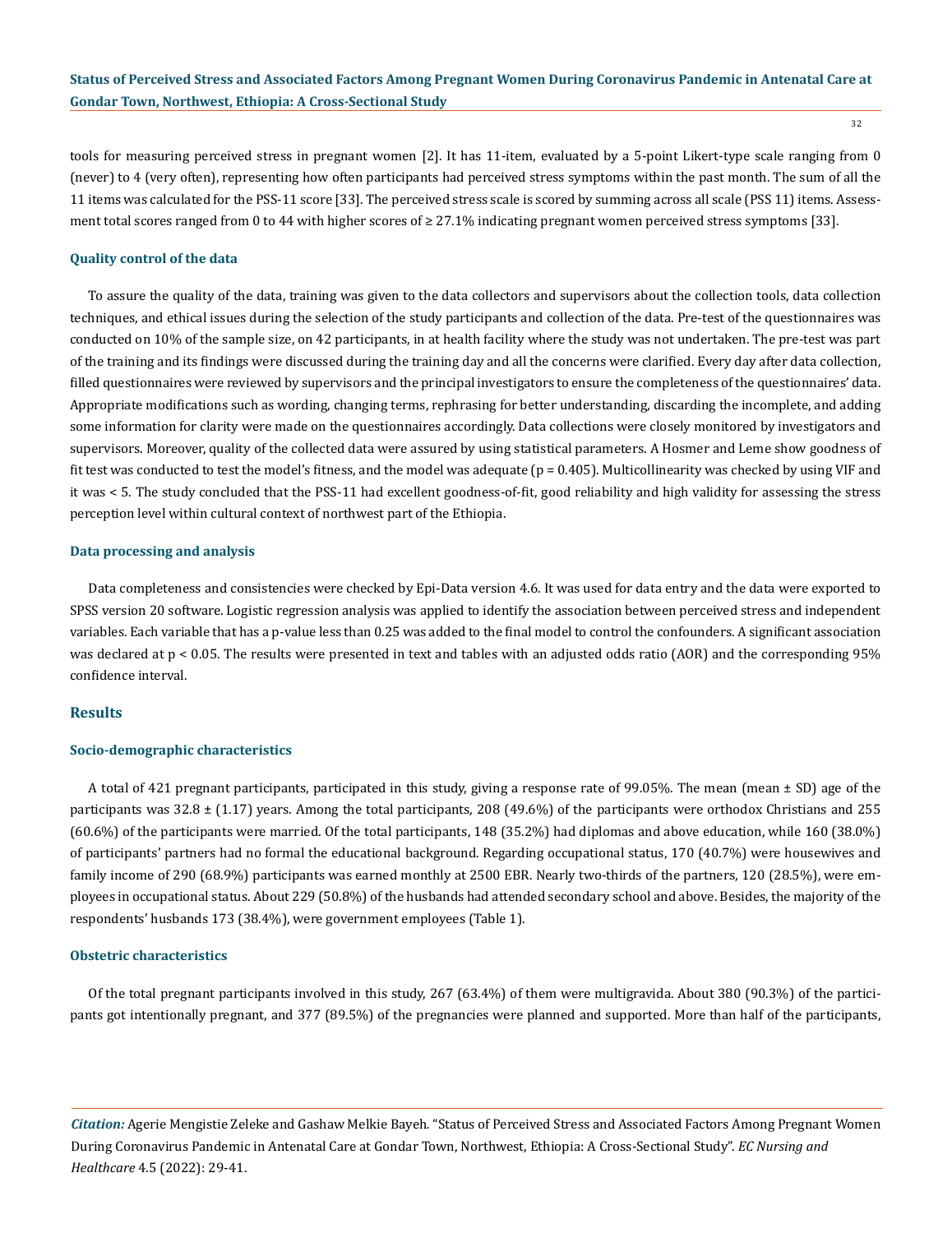tools for measuring perceived stress in pregnant women [2]. It has 11-item, evaluated by a 5-point Likert-type scale ranging from 0 (never) to 4 (very often), representing how often participants had perceived stress symptoms within the past month. The sum of all the 11 items was calculated for the PSS-11 score [33]. The perceived stress scale is scored by summing across all scale (PSS 11) items. Assessment total scores ranged from 0 to 44 with higher scores of ≥ 27.1% indicating pregnant women perceived stress symptoms [33].

### **Quality control of the data**

To assure the quality of the data, training was given to the data collectors and supervisors about the collection tools, data collection techniques, and ethical issues during the selection of the study participants and collection of the data. Pre-test of the questionnaires was conducted on 10% of the sample size, on 42 participants, in at health facility where the study was not undertaken. The pre-test was part of the training and its findings were discussed during the training day and all the concerns were clarified. Every day after data collection, filled questionnaires were reviewed by supervisors and the principal investigators to ensure the completeness of the questionnaires' data. Appropriate modifications such as wording, changing terms, rephrasing for better understanding, discarding the incomplete, and adding some information for clarity were made on the questionnaires accordingly. Data collections were closely monitored by investigators and supervisors. Moreover, quality of the collected data were assured by using statistical parameters. A Hosmer and Leme show goodness of fit test was conducted to test the model's fitness, and the model was adequate (p = 0.405). Multicollinearity was checked by using VIF and it was < 5. The study concluded that the PSS-11 had excellent goodness-of-fit, good reliability and high validity for assessing the stress perception level within cultural context of northwest part of the Ethiopia.

### **Data processing and analysis**

Data completeness and consistencies were checked by Epi-Data version 4.6. It was used for data entry and the data were exported to SPSS version 20 software. Logistic regression analysis was applied to identify the association between perceived stress and independent variables. Each variable that has a p-value less than 0.25 was added to the final model to control the confounders. A significant association was declared at p < 0.05. The results were presented in text and tables with an adjusted odds ratio (AOR) and the corresponding 95% confidence interval.

# **Results**

### **Socio-demographic characteristics**

A total of 421 pregnant participants, participated in this study, giving a response rate of 99.05%. The mean (mean ± SD) age of the participants was  $32.8 \pm (1.17)$  years. Among the total participants, 208 (49.6%) of the participants were orthodox Christians and 255 (60.6%) of the participants were married. Of the total participants, 148 (35.2%) had diplomas and above education, while 160 (38.0%) of participants' partners had no formal the educational background. Regarding occupational status, 170 (40.7%) were housewives and family income of 290 (68.9%) participants was earned monthly at 2500 EBR. Nearly two-thirds of the partners, 120 (28.5%), were employees in occupational status. About 229 (50.8%) of the husbands had attended secondary school and above. Besides, the majority of the respondents' husbands 173 (38.4%), were government employees (Table 1).

#### **Obstetric characteristics**

Of the total pregnant participants involved in this study, 267 (63.4%) of them were multigravida. About 380 (90.3%) of the participants got intentionally pregnant, and 377 (89.5%) of the pregnancies were planned and supported. More than half of the participants,

*Citation:* Agerie Mengistie Zeleke and Gashaw Melkie Bayeh*.* "Status of Perceived Stress and Associated Factors Among Pregnant Women During Coronavirus Pandemic in Antenatal Care at Gondar Town, Northwest, Ethiopia: A Cross-Sectional Study". *EC Nursing and Healthcare* 4.5 (2022): 29-41.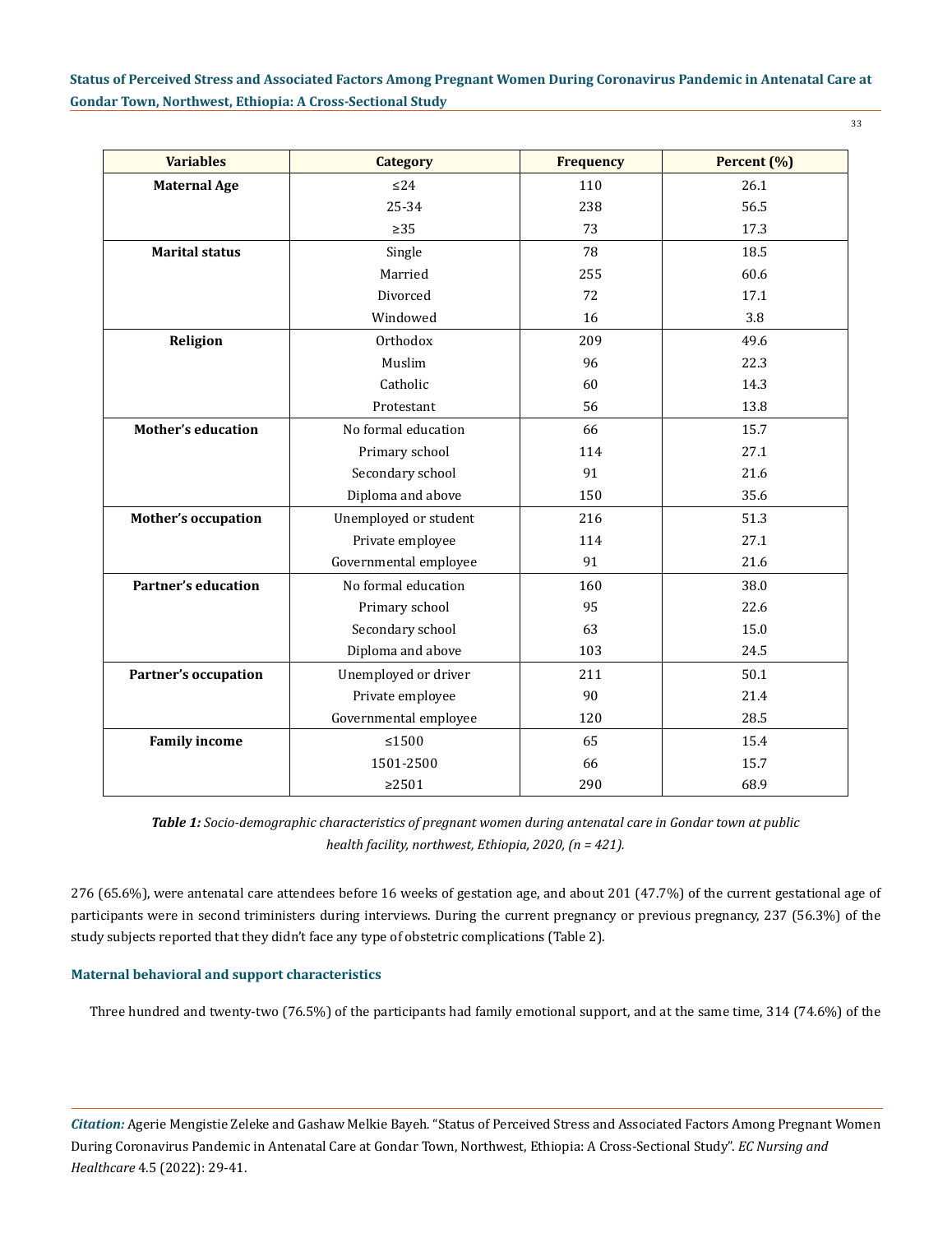| <b>Variables</b>            | <b>Category</b>       | <b>Frequency</b> | Percent (%) |  |
|-----------------------------|-----------------------|------------------|-------------|--|
| <b>Maternal Age</b>         | $\leq$ 24             | 110              | 26.1        |  |
|                             | 25-34                 | 238              | 56.5        |  |
|                             | $\geq$ 35             | 73               |             |  |
| <b>Marital status</b>       | Single                | 78               | 18.5        |  |
|                             | Married               | 255              | 60.6        |  |
|                             | Divorced              | 72               | 17.1        |  |
|                             | Windowed              | 16               |             |  |
| Religion                    | Orthodox              | 209              | 49.6        |  |
|                             | Muslim                | 96               | 22.3        |  |
|                             | Catholic              | 60               | 14.3        |  |
|                             | Protestant            | 56               | 13.8        |  |
| <b>Mother's education</b>   | No formal education   | 66               | 15.7        |  |
|                             | Primary school        | 114              | 27.1        |  |
|                             | Secondary school      | 91               | 21.6        |  |
|                             | Diploma and above     | 150              | 35.6        |  |
| <b>Mother's occupation</b>  | Unemployed or student | 216              | 51.3        |  |
|                             | Private employee      | 114              | 27.1        |  |
|                             | Governmental employee | 91               | 21.6        |  |
| <b>Partner's education</b>  | No formal education   | 160              | 38.0        |  |
|                             | Primary school        | 95               | 22.6        |  |
|                             | Secondary school      | 63               | 15.0        |  |
|                             | Diploma and above     | 103              | 24.5        |  |
| <b>Partner's occupation</b> | Unemployed or driver  | 211              | 50.1        |  |
|                             | Private employee      | 90               | 21.4        |  |
|                             | Governmental employee | 120              | 28.5        |  |
| <b>Family income</b>        | $\leq 1500$           | 65               | 15.4        |  |
|                             | 1501-2500             | 66               | 15.7        |  |
|                             | $\geq$ 2501           | 290              | 68.9        |  |

*Table 1: Socio-demographic characteristics of pregnant women during antenatal care in Gondar town at public health facility, northwest, Ethiopia, 2020, (n = 421).*

276 (65.6%), were antenatal care attendees before 16 weeks of gestation age, and about 201 (47.7%) of the current gestational age of participants were in second triministers during interviews. During the current pregnancy or previous pregnancy, 237 (56.3%) of the study subjects reported that they didn't face any type of obstetric complications (Table 2).

# **Maternal behavioral and support characteristics**

Three hundred and twenty-two (76.5%) of the participants had family emotional support, and at the same time, 314 (74.6%) of the

*Citation:* Agerie Mengistie Zeleke and Gashaw Melkie Bayeh*.* "Status of Perceived Stress and Associated Factors Among Pregnant Women During Coronavirus Pandemic in Antenatal Care at Gondar Town, Northwest, Ethiopia: A Cross-Sectional Study". *EC Nursing and Healthcare* 4.5 (2022): 29-41.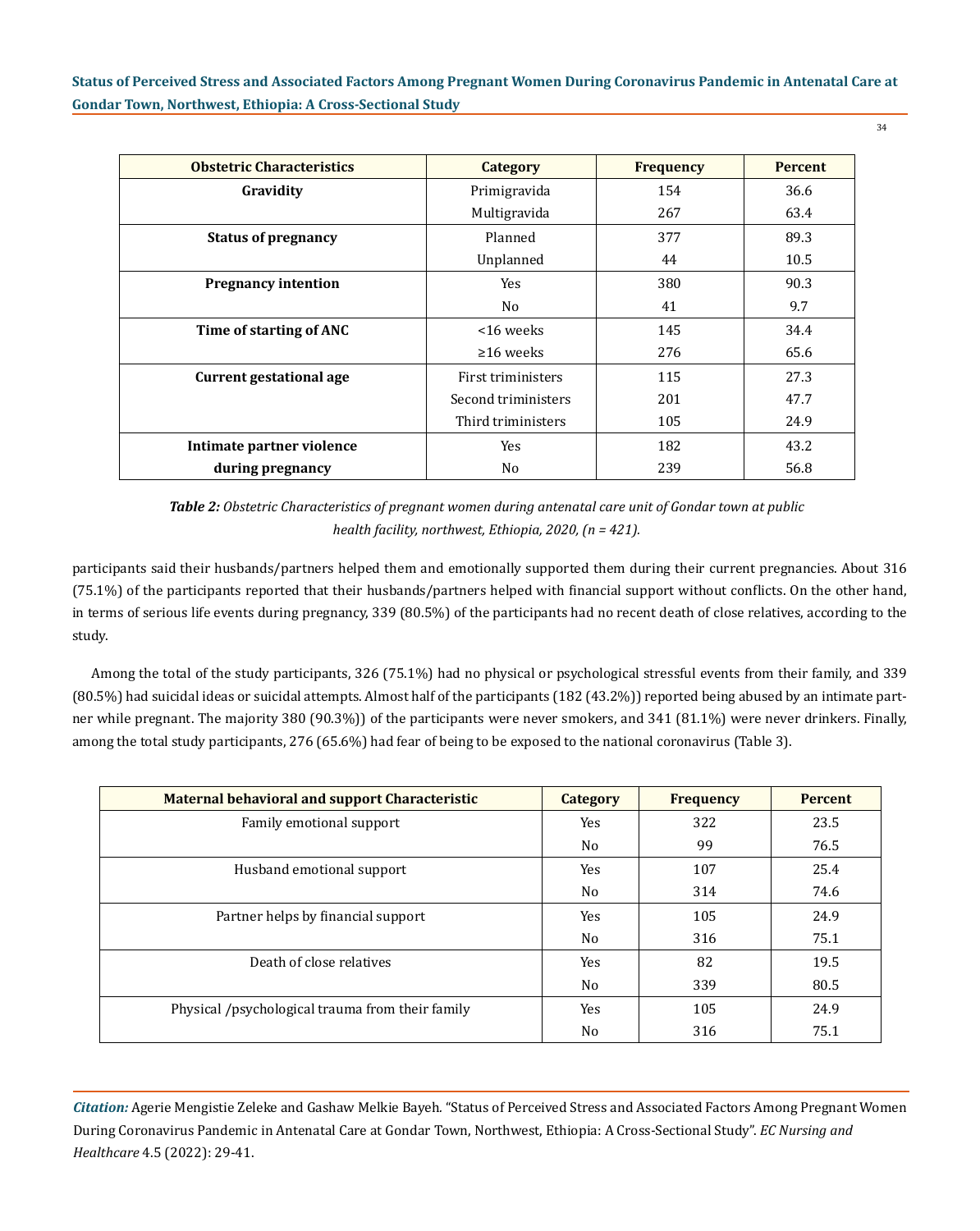| <b>Obstetric Characteristics</b> | Category            | <b>Frequency</b> | <b>Percent</b> |
|----------------------------------|---------------------|------------------|----------------|
| Gravidity                        | Primigravida        | 154              | 36.6           |
|                                  | Multigravida        | 267              | 63.4           |
| <b>Status of pregnancy</b>       | Planned             | 377              | 89.3           |
|                                  | Unplanned           | 44               | 10.5           |
| <b>Pregnancy intention</b>       | Yes                 | 380              | 90.3           |
|                                  | No                  | 41               | 9.7            |
| Time of starting of ANC          | <16 weeks           | 145              | 34.4           |
|                                  | $\geq 16$ weeks     | 276              | 65.6           |
| <b>Current gestational age</b>   | First triministers  | 115              | 27.3           |
|                                  | Second triministers | 201              | 47.7           |
|                                  | Third triministers  | 105              | 24.9           |
| Intimate partner violence        | Yes                 | 182              | 43.2           |
| during pregnancy                 | No                  | 239              | 56.8           |

*Table 2: Obstetric Characteristics of pregnant women during antenatal care unit of Gondar town at public health facility, northwest, Ethiopia, 2020, (n = 421).*

participants said their husbands/partners helped them and emotionally supported them during their current pregnancies. About 316 (75.1%) of the participants reported that their husbands/partners helped with financial support without conflicts. On the other hand, in terms of serious life events during pregnancy, 339 (80.5%) of the participants had no recent death of close relatives, according to the study.

Among the total of the study participants, 326 (75.1%) had no physical or psychological stressful events from their family, and 339 (80.5%) had suicidal ideas or suicidal attempts. Almost half of the participants (182 (43.2%)) reported being abused by an intimate partner while pregnant. The majority 380 (90.3%)) of the participants were never smokers, and 341 (81.1%) were never drinkers. Finally, among the total study participants, 276 (65.6%) had fear of being to be exposed to the national coronavirus (Table 3).

| Maternal behavioral and support Characteristic   | Category       | <b>Frequency</b> | <b>Percent</b> |
|--------------------------------------------------|----------------|------------------|----------------|
| Family emotional support                         | Yes            | 322              | 23.5           |
|                                                  | No             | 99               | 76.5           |
| Husband emotional support                        | Yes            | 107              | 25.4           |
|                                                  | No             | 314              | 74.6           |
| Partner helps by financial support               | Yes            | 105              | 24.9           |
|                                                  | No             | 316              | 75.1           |
| Death of close relatives                         | Yes            | 82               | 19.5           |
|                                                  | N <sub>0</sub> | 339              | 80.5           |
| Physical /psychological trauma from their family | Yes            | 105              | 24.9           |
|                                                  | No             | 316              | 75.1           |

*Citation:* Agerie Mengistie Zeleke and Gashaw Melkie Bayeh*.* "Status of Perceived Stress and Associated Factors Among Pregnant Women During Coronavirus Pandemic in Antenatal Care at Gondar Town, Northwest, Ethiopia: A Cross-Sectional Study". *EC Nursing and Healthcare* 4.5 (2022): 29-41.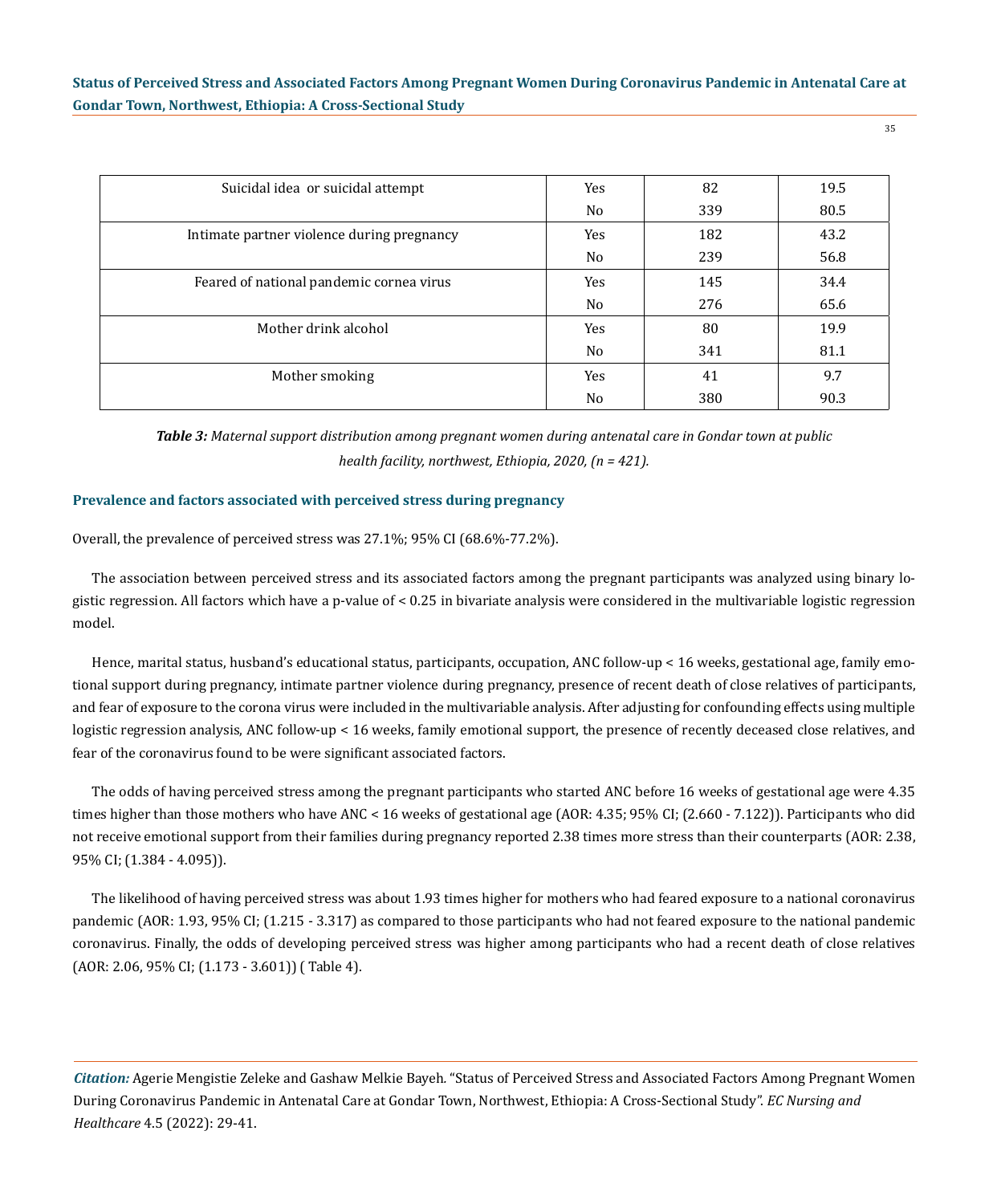| ×       |         |  |
|---------|---------|--|
| ۰.<br>× | ×<br>۰. |  |

| Suicidal idea or suicidal attempt          | Yes            | 82  | 19.5 |
|--------------------------------------------|----------------|-----|------|
|                                            | No             | 339 | 80.5 |
| Intimate partner violence during pregnancy | Yes            | 182 | 43.2 |
|                                            | No             | 239 | 56.8 |
| Feared of national pandemic cornea virus   | Yes            | 145 | 34.4 |
|                                            | N <sub>0</sub> | 276 | 65.6 |
| Mother drink alcohol                       | Yes            | 80  | 19.9 |
|                                            | No             | 341 | 81.1 |
| Mother smoking                             | Yes            | 41  | 9.7  |
|                                            | N <sub>0</sub> | 380 | 90.3 |

*Table 3: Maternal support distribution among pregnant women during antenatal care in Gondar town at public health facility, northwest, Ethiopia, 2020, (n = 421).*

### **Prevalence and factors associated with perceived stress during pregnancy**

Overall, the prevalence of perceived stress was 27.1%; 95% CI (68.6%-77.2%).

The association between perceived stress and its associated factors among the pregnant participants was analyzed using binary logistic regression. All factors which have a p-value of < 0.25 in bivariate analysis were considered in the multivariable logistic regression model.

Hence, marital status, husband's educational status, participants, occupation, ANC follow-up < 16 weeks, gestational age, family emotional support during pregnancy, intimate partner violence during pregnancy, presence of recent death of close relatives of participants, and fear of exposure to the corona virus were included in the multivariable analysis. After adjusting for confounding effects using multiple logistic regression analysis, ANC follow-up < 16 weeks, family emotional support, the presence of recently deceased close relatives, and fear of the coronavirus found to be were significant associated factors.

The odds of having perceived stress among the pregnant participants who started ANC before 16 weeks of gestational age were 4.35 times higher than those mothers who have ANC < 16 weeks of gestational age (AOR: 4.35; 95% CI; (2.660 - 7.122)). Participants who did not receive emotional support from their families during pregnancy reported 2.38 times more stress than their counterparts (AOR: 2.38, 95% CI; (1.384 - 4.095)).

The likelihood of having perceived stress was about 1.93 times higher for mothers who had feared exposure to a national coronavirus pandemic (AOR: 1.93, 95% CI; (1.215 - 3.317) as compared to those participants who had not feared exposure to the national pandemic coronavirus. Finally, the odds of developing perceived stress was higher among participants who had a recent death of close relatives (AOR: 2.06, 95% CI; (1.173 - 3.601)) ( Table 4).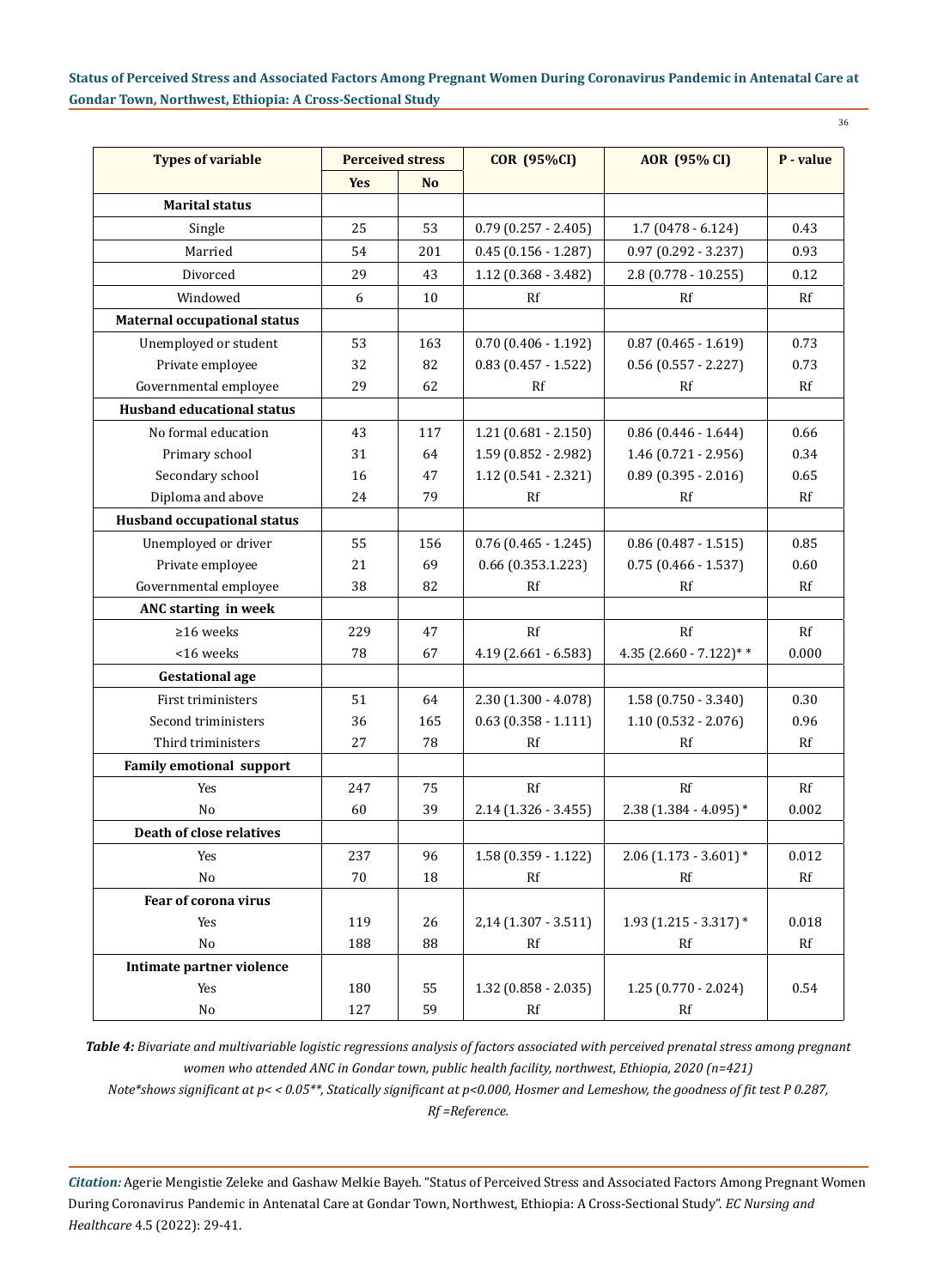| <b>Types of variable</b>            | <b>Perceived stress</b> |           | <b>COR (95%CI)</b>       | <b>AOR</b> (95% CI)      | P - value |
|-------------------------------------|-------------------------|-----------|--------------------------|--------------------------|-----------|
|                                     | <b>Yes</b>              | <b>No</b> |                          |                          |           |
| <b>Marital status</b>               |                         |           |                          |                          |           |
| Single                              | 25                      | 53        | $0.79$ $(0.257 - 2.405)$ | $1.7(0478 - 6.124)$      | 0.43      |
| Married                             | 54                      | 201       | $0.45(0.156 - 1.287)$    | $0.97$ $(0.292 - 3.237)$ | 0.93      |
| Divorced                            | 29                      | 43        | $1.12$ (0.368 - 3.482)   | $2.8(0.778 - 10.255)$    | 0.12      |
| Windowed                            | 6                       | 10        | Rf                       | Rf                       | Rf        |
| <b>Maternal occupational status</b> |                         |           |                          |                          |           |
| Unemployed or student               | 53                      | 163       | $0.70$ $(0.406 - 1.192)$ | $0.87$ (0.465 - 1.619)   | 0.73      |
| Private employee                    | 32                      | 82        | $0.83$ (0.457 - 1.522)   | $0.56$ $(0.557 - 2.227)$ | 0.73      |
| Governmental employee               | 29                      | 62        | Rf                       | Rf                       | Rf        |
| <b>Husband educational status</b>   |                         |           |                          |                          |           |
| No formal education                 | 43                      | 117       | $1.21(0.681 - 2.150)$    | $0.86$ (0.446 - 1.644)   | 0.66      |
| Primary school                      | 31                      | 64        | $1.59(0.852 - 2.982)$    | $1.46(0.721 - 2.956)$    | 0.34      |
| Secondary school                    | 16                      | 47        | $1.12(0.541 - 2.321)$    | $0.89$ (0.395 - 2.016)   | 0.65      |
| Diploma and above                   | 24                      | 79        | Rf                       | Rf                       | Rf        |
| <b>Husband occupational status</b>  |                         |           |                          |                          |           |
| Unemployed or driver                | 55                      | 156       | $0.76$ (0.465 - 1.245)   | $0.86$ (0.487 - 1.515)   | 0.85      |
| Private employee                    | 21                      | 69        | $0.66$ (0.353.1.223)     | $0.75(0.466 - 1.537)$    | 0.60      |
| Governmental employee               | 38                      | 82        | Rf                       | Rf                       | Rf        |
| ANC starting in week                |                         |           |                          |                          |           |
| $\geq$ 16 weeks                     | 229                     | 47        | Rf                       | Rf                       | Rf        |
| <16 weeks                           | 78                      | 67        | $4.19$ (2.661 - 6.583)   | 4.35 $(2.660 - 7.122)**$ | 0.000     |
| <b>Gestational age</b>              |                         |           |                          |                          |           |
| First triministers                  | 51                      | 64        | $2.30(1.300 - 4.078)$    | $1.58(0.750 - 3.340)$    | 0.30      |
| Second triministers                 | 36                      | 165       | $0.63$ $(0.358 - 1.111)$ | $1.10(0.532 - 2.076)$    | 0.96      |
| Third triministers                  | 27                      | 78        | Rf                       | Rf                       | Rf        |
| <b>Family emotional support</b>     |                         |           |                          |                          |           |
| Yes                                 | 247                     | 75        | Rf                       | Rf                       | Rf        |
| No                                  | 60                      | 39        | $2.14(1.326 - 3.455)$    | 2.38 (1.384 - 4.095) *   | 0.002     |
| <b>Death of close relatives</b>     |                         |           |                          |                          |           |
| Yes                                 | 237                     | 96        | $1.58(0.359 - 1.122)$    | $2.06$ (1.173 - 3.601) * | 0.012     |
| No                                  | 70                      | 18        | Rf                       | Rf                       | Rf        |
| Fear of corona virus                |                         |           |                          |                          |           |
| Yes                                 | 119                     | 26        | $2,14$ (1.307 - 3.511)   | $1.93$ (1.215 - 3.317) * | 0.018     |
| No                                  | 188                     | 88        | Rf                       | $\mathbf{R}\mathbf{f}$   | Rf        |
| Intimate partner violence           |                         |           |                          |                          |           |
| Yes                                 | 180                     | 55        | $1.32$ (0.858 - 2.035)   | $1.25(0.770 - 2.024)$    | 0.54      |
| No                                  | 127                     | 59        | $\mathbf{R}\mathbf{f}$   | $\mathbf{R}\mathbf{f}$   |           |

*Table 4: Bivariate and multivariable logistic regressions analysis of factors associated with perceived prenatal stress among pregnant women who attended ANC in Gondar town, public health facility, northwest, Ethiopia, 2020 (n=421)*

*Note\*shows significant at p< < 0.05\*\*, Statically significant at p<0.000, Hosmer and Lemeshow, the goodness of fit test P 0.287,* 

*Rf =Reference.*

*Citation:* Agerie Mengistie Zeleke and Gashaw Melkie Bayeh*.* "Status of Perceived Stress and Associated Factors Among Pregnant Women During Coronavirus Pandemic in Antenatal Care at Gondar Town, Northwest, Ethiopia: A Cross-Sectional Study". *EC Nursing and Healthcare* 4.5 (2022): 29-41.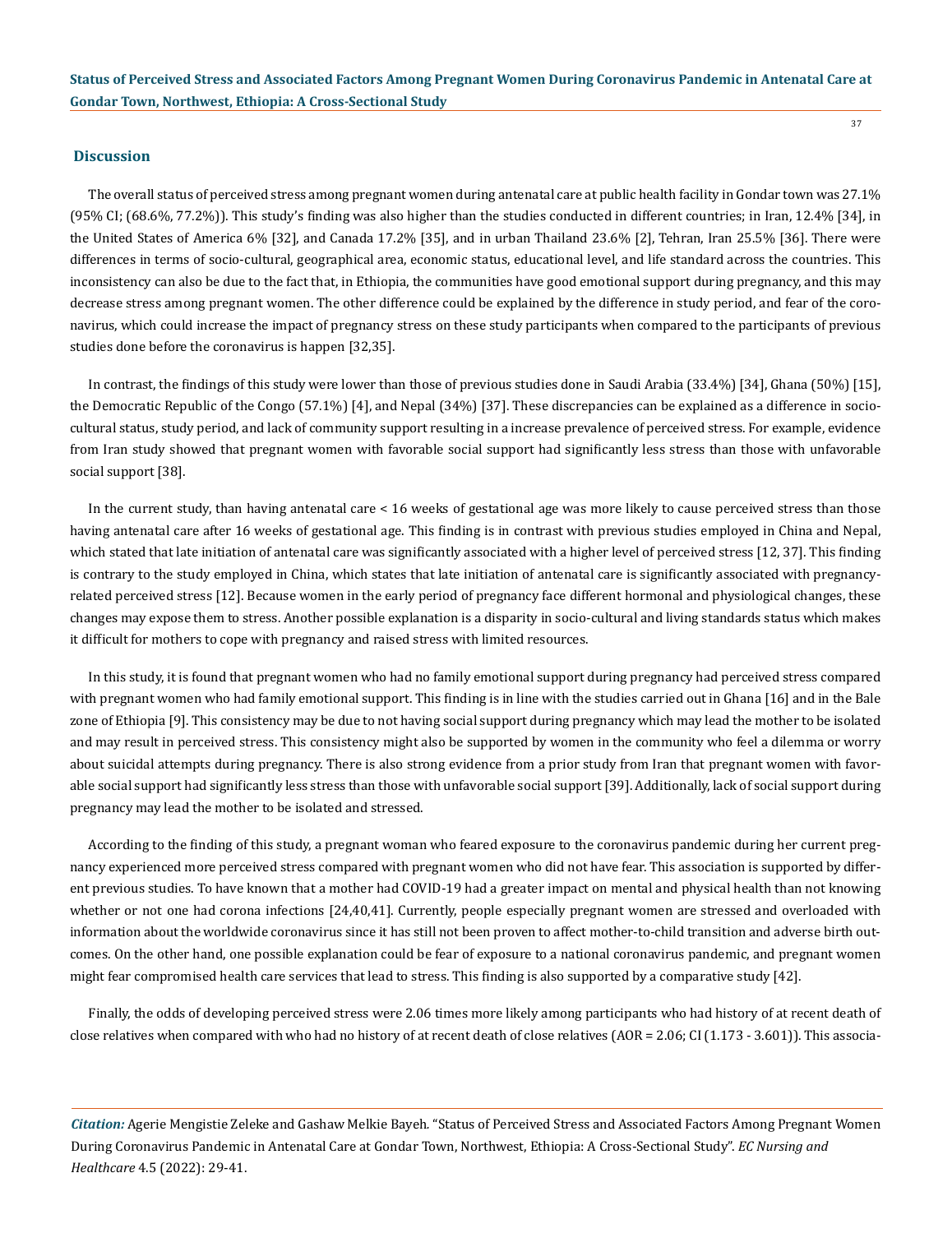### **Discussion**

The overall status of perceived stress among pregnant women during antenatal care at public health facility in Gondar town was 27.1% (95% CI; (68.6%, 77.2%)). This study's finding was also higher than the studies conducted in different countries; in Iran, 12.4% [34], in the United States of America 6% [32], and Canada 17.2% [35], and in urban Thailand 23.6% [2], Tehran, Iran 25.5% [36]. There were differences in terms of socio-cultural, geographical area, economic status, educational level, and life standard across the countries. This inconsistency can also be due to the fact that, in Ethiopia, the communities have good emotional support during pregnancy, and this may decrease stress among pregnant women. The other difference could be explained by the difference in study period, and fear of the coronavirus, which could increase the impact of pregnancy stress on these study participants when compared to the participants of previous studies done before the coronavirus is happen [32,35].

In contrast, the findings of this study were lower than those of previous studies done in Saudi Arabia (33.4%) [34], Ghana (50%) [15], the Democratic Republic of the Congo (57.1%) [4], and Nepal (34%) [37]. These discrepancies can be explained as a difference in sociocultural status, study period, and lack of community support resulting in a increase prevalence of perceived stress. For example, evidence from Iran study showed that pregnant women with favorable social support had significantly less stress than those with unfavorable social support [38].

In the current study, than having antenatal care < 16 weeks of gestational age was more likely to cause perceived stress than those having antenatal care after 16 weeks of gestational age. This finding is in contrast with previous studies employed in China and Nepal, which stated that late initiation of antenatal care was significantly associated with a higher level of perceived stress [12, 37]. This finding is contrary to the study employed in China, which states that late initiation of antenatal care is significantly associated with pregnancyrelated perceived stress [12]. Because women in the early period of pregnancy face different hormonal and physiological changes, these changes may expose them to stress. Another possible explanation is a disparity in socio-cultural and living standards status which makes it difficult for mothers to cope with pregnancy and raised stress with limited resources.

In this study, it is found that pregnant women who had no family emotional support during pregnancy had perceived stress compared with pregnant women who had family emotional support. This finding is in line with the studies carried out in Ghana [16] and in the Bale zone of Ethiopia [9]. This consistency may be due to not having social support during pregnancy which may lead the mother to be isolated and may result in perceived stress. This consistency might also be supported by women in the community who feel a dilemma or worry about suicidal attempts during pregnancy. There is also strong evidence from a prior study from Iran that pregnant women with favorable social support had significantly less stress than those with unfavorable social support [39]. Additionally, lack of social support during pregnancy may lead the mother to be isolated and stressed.

According to the finding of this study, a pregnant woman who feared exposure to the coronavirus pandemic during her current pregnancy experienced more perceived stress compared with pregnant women who did not have fear. This association is supported by different previous studies. To have known that a mother had COVID-19 had a greater impact on mental and physical health than not knowing whether or not one had corona infections [24,40,41]. Currently, people especially pregnant women are stressed and overloaded with information about the worldwide coronavirus since it has still not been proven to affect mother-to-child transition and adverse birth outcomes. On the other hand, one possible explanation could be fear of exposure to a national coronavirus pandemic, and pregnant women might fear compromised health care services that lead to stress. This finding is also supported by a comparative study [42].

Finally, the odds of developing perceived stress were 2.06 times more likely among participants who had history of at recent death of close relatives when compared with who had no history of at recent death of close relatives (AOR = 2.06; CI (1.173 - 3.601)). This associa-

*Citation:* Agerie Mengistie Zeleke and Gashaw Melkie Bayeh*.* "Status of Perceived Stress and Associated Factors Among Pregnant Women During Coronavirus Pandemic in Antenatal Care at Gondar Town, Northwest, Ethiopia: A Cross-Sectional Study". *EC Nursing and Healthcare* 4.5 (2022): 29-41.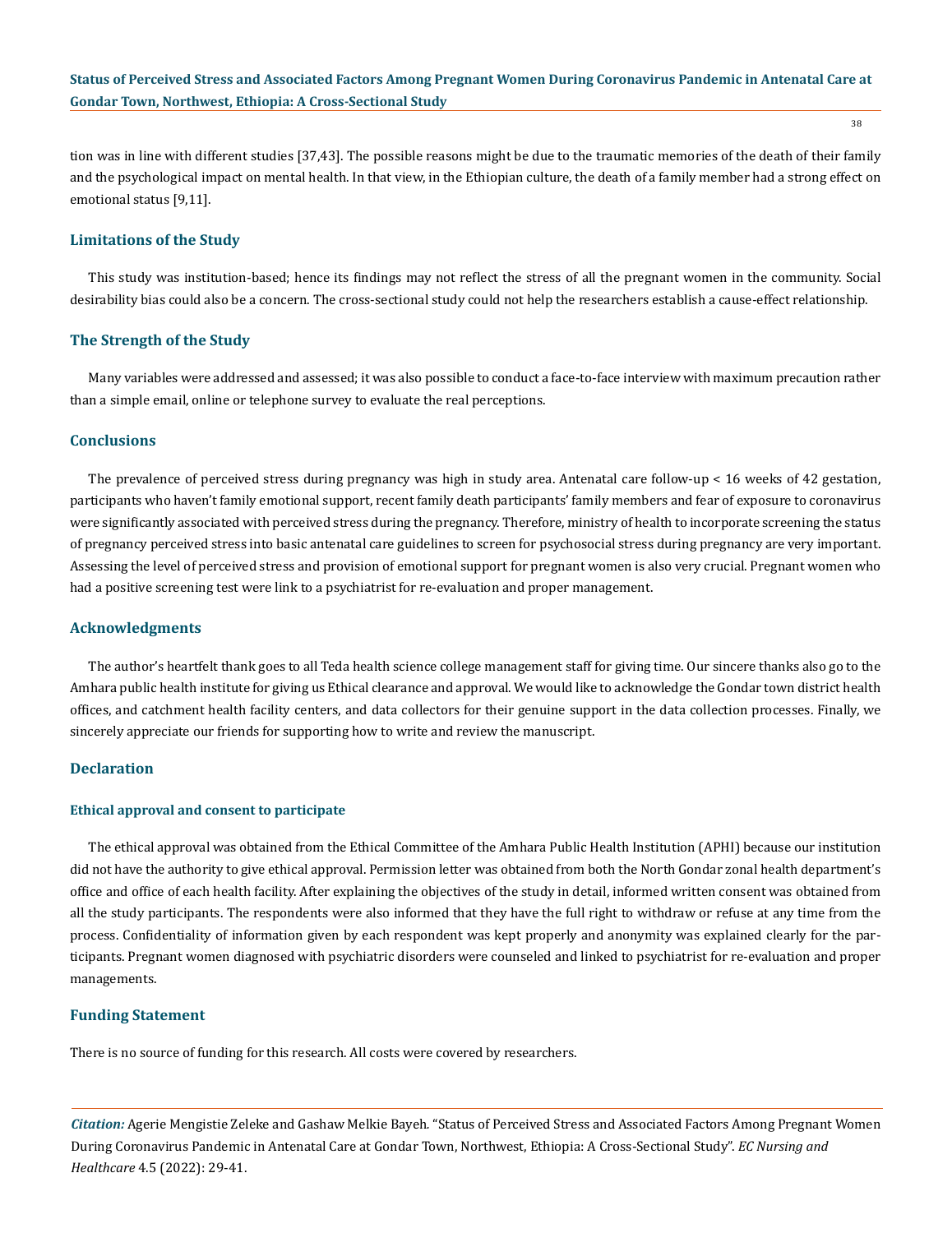tion was in line with different studies [37,43]. The possible reasons might be due to the traumatic memories of the death of their family and the psychological impact on mental health. In that view, in the Ethiopian culture, the death of a family member had a strong effect on emotional status [9,11].

# **Limitations of the Study**

This study was institution-based; hence its findings may not reflect the stress of all the pregnant women in the community. Social desirability bias could also be a concern. The cross-sectional study could not help the researchers establish a cause-effect relationship.

### **The Strength of the Study**

Many variables were addressed and assessed; it was also possible to conduct a face-to-face interview with maximum precaution rather than a simple email, online or telephone survey to evaluate the real perceptions.

# **Conclusions**

The prevalence of perceived stress during pregnancy was high in study area. Antenatal care follow-up < 16 weeks of 42 gestation, participants who haven't family emotional support, recent family death participants' family members and fear of exposure to coronavirus were significantly associated with perceived stress during the pregnancy. Therefore, ministry of health to incorporate screening the status of pregnancy perceived stress into basic antenatal care guidelines to screen for psychosocial stress during pregnancy are very important. Assessing the level of perceived stress and provision of emotional support for pregnant women is also very crucial. Pregnant women who had a positive screening test were link to a psychiatrist for re-evaluation and proper management.

### **Acknowledgments**

The author's heartfelt thank goes to all Teda health science college management staff for giving time. Our sincere thanks also go to the Amhara public health institute for giving us Ethical clearance and approval. We would like to acknowledge the Gondar town district health offices, and catchment health facility centers, and data collectors for their genuine support in the data collection processes. Finally, we sincerely appreciate our friends for supporting how to write and review the manuscript.

# **Declaration**

### **Ethical approval and consent to participate**

The ethical approval was obtained from the Ethical Committee of the Amhara Public Health Institution (APHI) because our institution did not have the authority to give ethical approval. Permission letter was obtained from both the North Gondar zonal health department's office and office of each health facility. After explaining the objectives of the study in detail, informed written consent was obtained from all the study participants. The respondents were also informed that they have the full right to withdraw or refuse at any time from the process. Confidentiality of information given by each respondent was kept properly and anonymity was explained clearly for the participants. Pregnant women diagnosed with psychiatric disorders were counseled and linked to psychiatrist for re-evaluation and proper managements.

### **Funding Statement**

There is no source of funding for this research. All costs were covered by researchers.

*Citation:* Agerie Mengistie Zeleke and Gashaw Melkie Bayeh*.* "Status of Perceived Stress and Associated Factors Among Pregnant Women During Coronavirus Pandemic in Antenatal Care at Gondar Town, Northwest, Ethiopia: A Cross-Sectional Study". *EC Nursing and Healthcare* 4.5 (2022): 29-41.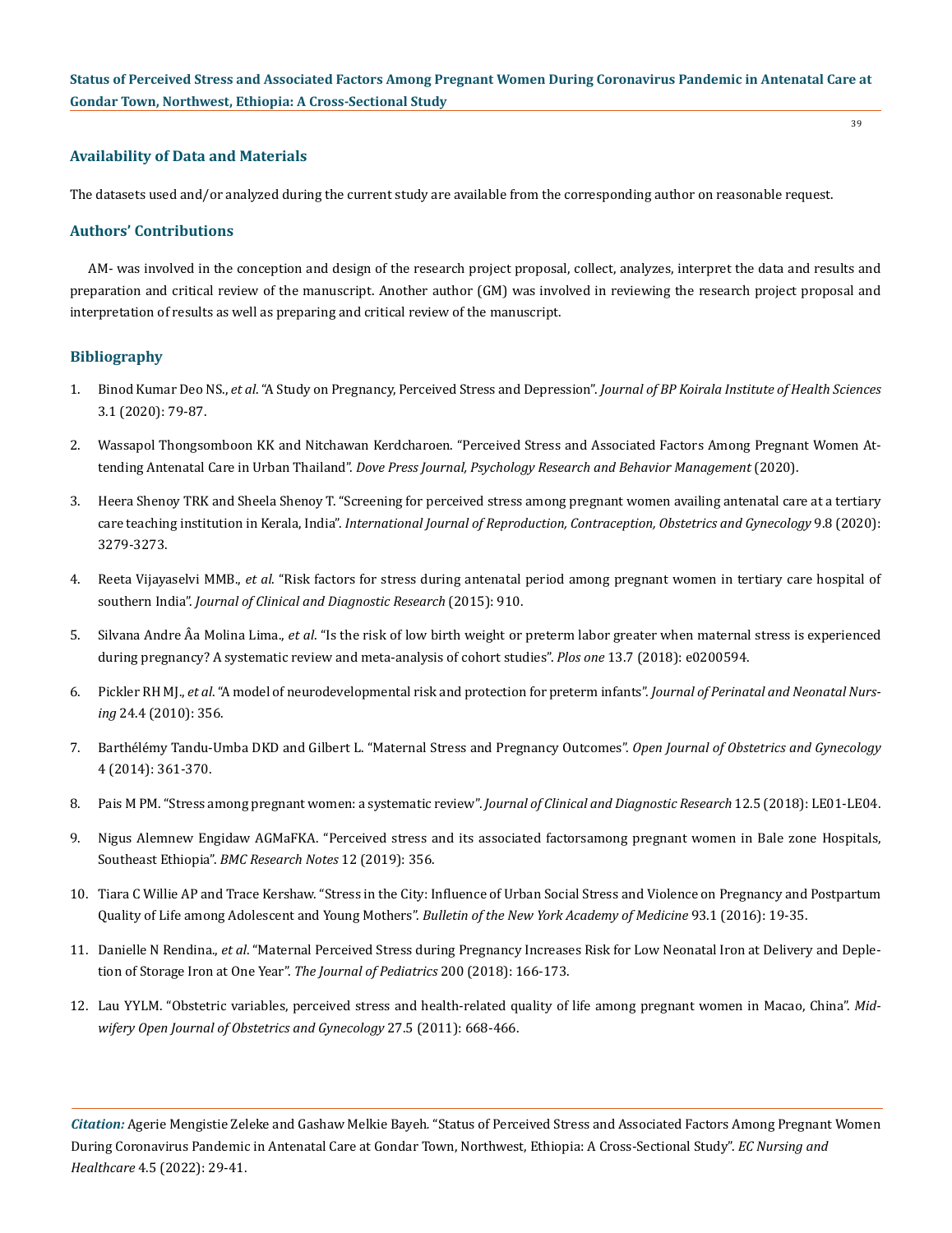### **Availability of Data and Materials**

The datasets used and/or analyzed during the current study are available from the corresponding author on reasonable request.

# **Authors' Contributions**

AM- was involved in the conception and design of the research project proposal, collect, analyzes, interpret the data and results and preparation and critical review of the manuscript. Another author (GM) was involved in reviewing the research project proposal and interpretation of results as well as preparing and critical review of the manuscript.

### **Bibliography**

- 1. Binod Kumar Deo NS., *et al*[. "A Study on Pregnancy, Perceived Stress and Depression".](https://www.nepjol.info/index.php/jbpkihs/article/download/30331/24280) *Journal of BP Koirala Institute of Health Sciences* [3.1 \(2020\): 79-87.](https://www.nepjol.info/index.php/jbpkihs/article/download/30331/24280)
- 2. [Wassapol Thongsomboon KK and Nitchawan Kerdcharoen. "Perceived Stress and Associated Factors Among Pregnant Women At](https://pubmed.ncbi.nlm.nih.gov/33293879/)tending Antenatal Care in Urban Thailand". *[Dove Press Journal, Psychology Research and Behavior Management](https://pubmed.ncbi.nlm.nih.gov/33293879/)* (2020).
- 3. [Heera Shenoy TRK and Sheela Shenoy T. "Screening for perceived stress among pregnant women availing antenatal care at a tertiary](https://www.ijrcog.org/index.php/ijrcog/article/view/8624)  care teaching institution in Kerala, India". *[International Journal of Reproduction, Contraception, Obstetrics and Gynecology](https://www.ijrcog.org/index.php/ijrcog/article/view/8624)* 9.8 (2020): [3279-3273.](https://www.ijrcog.org/index.php/ijrcog/article/view/8624)
- 4. Reeta Vijayaselvi MMB., *et al*[. "Risk factors for stress during antenatal period among pregnant women in tertiary care hospital of](https://pubmed.ncbi.nlm.nih.gov/26557568/)  southern India". *[Journal of Clinical and Diagnostic Research](https://pubmed.ncbi.nlm.nih.gov/26557568/)* (2015): 910.
- 5. Silvana Andre Âa Molina Lima., *et al*[. "Is the risk of low birth weight or preterm labor greater when maternal stress is experienced](https://pubmed.ncbi.nlm.nih.gov/30048456/)  [during pregnancy? A systematic review and meta-analysis of cohort studies".](https://pubmed.ncbi.nlm.nih.gov/30048456/) *Plos one* 13.7 (2018): e0200594.
- 6. Pickler RH MJ., *et al*[. "A model of neurodevelopmental risk and protection for preterm infants".](https://pubmed.ncbi.nlm.nih.gov/21045616/) *Journal of Perinatal and Neonatal Nursing* [24.4 \(2010\): 356.](https://pubmed.ncbi.nlm.nih.gov/21045616/)
- 7. [Barthélémy Tandu-Umba DKD and Gilbert L. "Maternal Stress and Pregnancy Outcomes".](https://www.scirp.org/journal/paperinformation.aspx?paperid=45831) *Open Journal of Obstetrics and Gynecology* [4 \(2014\): 361-370.](https://www.scirp.org/journal/paperinformation.aspx?paperid=45831)
- 8. [Pais M PM. "Stress among pregnant women: a systematic review".](https://www.researchgate.net/publication/325810090_Stress_Among_Pregnant_Women_A_Systematic_Review) *Journal of Clinical and Diagnostic Research* 12.5 (2018): LE01-LE04.
- 9. [Nigus Alemnew Engidaw AGMaFKA. "Perceived stress and its associated factorsamong pregnant women in Bale zone Hospitals,](https://bmcresnotes.biomedcentral.com/articles/10.1186/s13104-019-4383-0)  Southeast Ethiopia". *[BMC Research Notes](https://bmcresnotes.biomedcentral.com/articles/10.1186/s13104-019-4383-0)* 12 (2019): 356.
- 10. [Tiara C Willie AP and Trace Kershaw. "Stress in the City: Influence of Urban Social Stress and Violence on Pregnancy and Postpartum](https://pubmed.ncbi.nlm.nih.gov/26791234/)  [Quality of Life among Adolescent and Young Mothers".](https://pubmed.ncbi.nlm.nih.gov/26791234/) *Bulletin of the New York Academy of Medicine* 93.1 (2016): 19-35.
- 11. Danielle N Rendina., *et al*[. "Maternal Perceived Stress during Pregnancy Increases Risk for Low Neonatal Iron at Delivery and Deple](https://www.ncbi.nlm.nih.gov/pmc/articles/PMC6109609/)[tion of Storage Iron at One Year".](https://www.ncbi.nlm.nih.gov/pmc/articles/PMC6109609/) *The Journal of Pediatrics* 200 (2018): 166-173.
- 12. [Lau YYLM. "Obstetric variables, perceived stress and health-related quality of life among pregnant women in Macao, China".](https://pubmed.ncbi.nlm.nih.gov/20466467/) *Mid[wifery Open Journal of Obstetrics and Gynecology](https://pubmed.ncbi.nlm.nih.gov/20466467/)* 27.5 (2011): 668-466.

*Citation:* Agerie Mengistie Zeleke and Gashaw Melkie Bayeh*.* "Status of Perceived Stress and Associated Factors Among Pregnant Women During Coronavirus Pandemic in Antenatal Care at Gondar Town, Northwest, Ethiopia: A Cross-Sectional Study". *EC Nursing and Healthcare* 4.5 (2022): 29-41.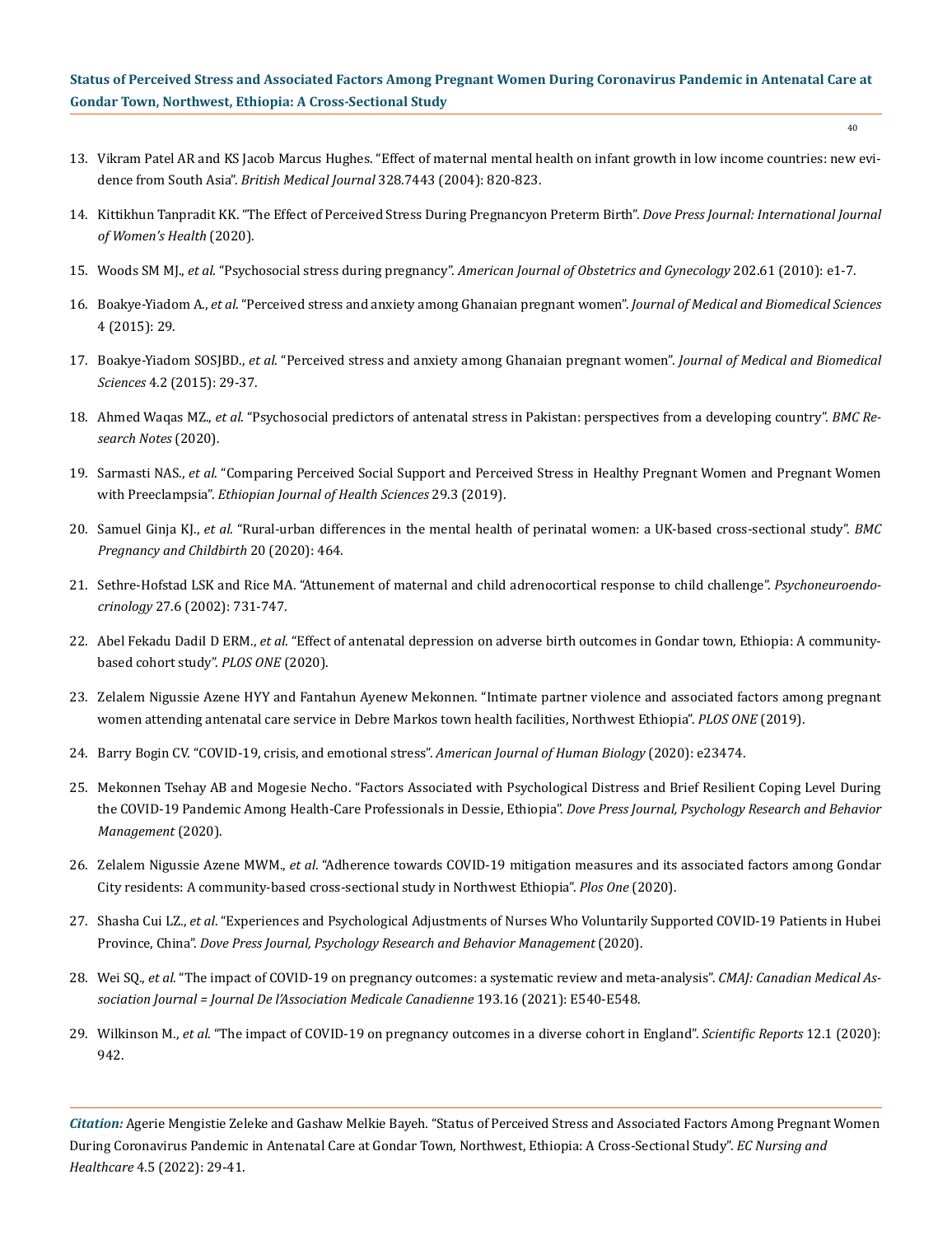- 40
- 13. [Vikram Patel AR and KS Jacob Marcus Hughes. "Effect of maternal mental health on infant growth in low income countries: new evi](https://www.ncbi.nlm.nih.gov/pmc/articles/PMC383383/)dence from South Asia". *British Medical Journal* [328.7443 \(2004\): 820-823.](https://www.ncbi.nlm.nih.gov/pmc/articles/PMC383383/)
- 14. [Kittikhun Tanpradit KK. "The Effect of Perceived Stress During Pregnancyon Preterm Birth".](https://pubmed.ncbi.nlm.nih.gov/32346315/) *Dove Press Journal: International Journal [of Women's Health](https://pubmed.ncbi.nlm.nih.gov/32346315/)* (2020).
- 15. Woods SM MJ., *et al*. "Psychosocial stress during pregnancy". *[American Journal of Obstetrics and Gynecology](https://pubmed.ncbi.nlm.nih.gov/19766975/)* 202.61 (2010): e1-7.
- 16. Boakye-Yiadom A., *et al*[. "Perceived stress and anxiety among Ghanaian pregnant women".](https://www.ajol.info/index.php/jmbs/article/view/127723) *Journal of Medical and Biomedical Sciences* [4 \(2015\): 29.](https://www.ajol.info/index.php/jmbs/article/view/127723)
- 17. Boakye-Yiadom SOSJBD., *et al*[. "Perceived stress and anxiety among Ghanaian pregnant women".](https://www.ajol.info/index.php/jmbs/article/view/127723) *Journal of Medical and Biomedical Sciences* [4.2 \(2015\): 29-37.](https://www.ajol.info/index.php/jmbs/article/view/127723)
- 18. Ahmed Waqas MZ., *et al*[. "Psychosocial predictors of antenatal stress in Pakistan: perspectives from a developing country".](https://www.ncbi.nlm.nih.gov/pmc/articles/PMC7079497/) *BMC Re[search Notes](https://www.ncbi.nlm.nih.gov/pmc/articles/PMC7079497/)* (2020).
- 19. Sarmasti NAS., *et al*[. "Comparing Perceived Social Support and Perceived Stress in Healthy Pregnant Women and Pregnant Women](https://pubmed.ncbi.nlm.nih.gov/31447505/)  with Preeclampsia". *[Ethiopian Journal of Health Sciences](https://pubmed.ncbi.nlm.nih.gov/31447505/)* 29.3 (2019).
- 20. Samuel Ginja KJ., *et al.* ["Rural-urban differences in the mental health of perinatal women: a UK-based cross-sectional study".](https://bmcpregnancychildbirth.biomedcentral.com/articles/10.1186/s12884-020-03132-2) *BMC [Pregnancy and Childbirth](https://bmcpregnancychildbirth.biomedcentral.com/articles/10.1186/s12884-020-03132-2)* 20 (2020): 464.
- 21. [Sethre-Hofstad LSK and Rice MA. "Attunement of maternal and child adrenocortical response to child challenge".](https://www.sciencedirect.com/science/article/abs/pii/S0306453001000774) *Psychoneuroendocrinology* [27.6 \(2002\): 731-747.](https://www.sciencedirect.com/science/article/abs/pii/S0306453001000774)
- 22. Abel Fekadu DadiI D ERM., *et al*[. "Effect of antenatal depression on adverse birth outcomes in Gondar town, Ethiopia: A community](https://pubmed.ncbi.nlm.nih.gov/32555631/)[based cohort study".](https://pubmed.ncbi.nlm.nih.gov/32555631/) *PLOS ONE* (2020).
- 23. [Zelalem Nigussie Azene HYY and Fantahun Ayenew Mekonnen. "Intimate partner violence and associated factors among pregnant](https://www.ncbi.nlm.nih.gov/pmc/articles/PMC6602189/)  [women attending antenatal care service in Debre Markos town health facilities, Northwest Ethiopia".](https://www.ncbi.nlm.nih.gov/pmc/articles/PMC6602189/) *PLOS ONE* (2019).
- 24. [Barry Bogin CV. "COVID-19, crisis, and emotional stress".](https://onlinelibrary.wiley.com/doi/full/10.1002/ajhb.23474) *American Journal of Human Biology* (2020): e23474.
- 25. [Mekonnen Tsehay AB and Mogesie Necho. "Factors Associated with Psychological Distress and Brief Resilient Coping Level During](https://www.ncbi.nlm.nih.gov/pmc/articles/PMC7751773/)  [the COVID-19 Pandemic Among Health-Care Professionals in Dessie, Ethiopia".](https://www.ncbi.nlm.nih.gov/pmc/articles/PMC7751773/) *Dove Press Journal, Psychology Research and Behavior [Management](https://www.ncbi.nlm.nih.gov/pmc/articles/PMC7751773/)* (2020).
- 26. Zelalem Nigussie Azene MWM., *et al*[. "Adherence towards COVID-19 mitigation measures and its associated factors among Gondar](https://pubmed.ncbi.nlm.nih.gov/33378332/)  [City residents: A community-based cross-sectional study in Northwest Ethiopia".](https://pubmed.ncbi.nlm.nih.gov/33378332/) *Plos One* (2020).
- 27. Shasha Cui LZ., *et al*[. "Experiences and Psychological Adjustments of Nurses Who Voluntarily Supported COVID-19 Patients in Hubei](https://pubmed.ncbi.nlm.nih.gov/33312005/)  Province, China". *[Dove Press Journal, Psychology Research and Behavior Management](https://pubmed.ncbi.nlm.nih.gov/33312005/)* (2020).
- 28. Wei SQ., *et al*[. "The impact of COVID-19 on pregnancy outcomes: a systematic review and meta-analysis".](https://pubmed.ncbi.nlm.nih.gov/33741725/) *CMAJ: Canadian Medical As[sociation Journal = Journal De l'Association Medicale Canadienne](https://pubmed.ncbi.nlm.nih.gov/33741725/)* 193.16 (2021): E540-E548.
- 29. Wilkinson M., *et al*[. "The impact of COVID-19 on pregnancy outcomes in a diverse cohort in England".](https://www.nature.com/articles/s41598-022-04898-5.pdf?origin=ppub) *Scientific Reports* 12.1 (2020): [942.](https://www.nature.com/articles/s41598-022-04898-5.pdf?origin=ppub)